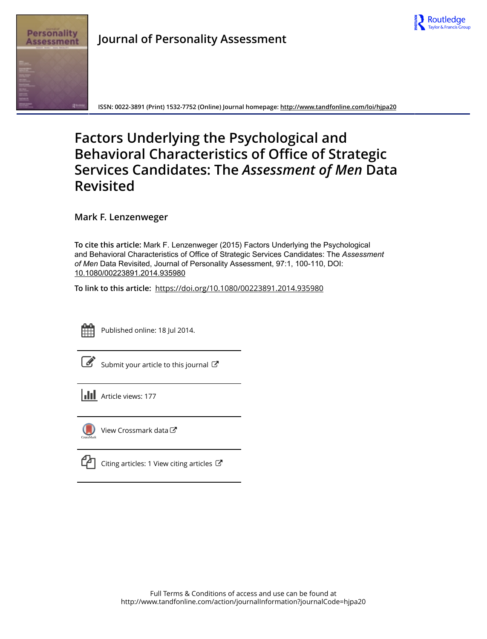

## **Journal of Personality Assessment**



**ISSN: 0022-3891 (Print) 1532-7752 (Online) Journal homepage:<http://www.tandfonline.com/loi/hjpa20>**

# **Factors Underlying the Psychological and Behavioral Characteristics of Office of Strategic Services Candidates: The** *Assessment of Men* **Data Revisited**

**Mark F. Lenzenweger**

**To cite this article:** Mark F. Lenzenweger (2015) Factors Underlying the Psychological and Behavioral Characteristics of Office of Strategic Services Candidates: The *Assessment ofMen* Data Revisited, Journal of Personality Assessment, 97:1, 100-110, DOI: [10.1080/00223891.2014.935980](http://www.tandfonline.com/action/showCitFormats?doi=10.1080/00223891.2014.935980)

**To link to this article:** <https://doi.org/10.1080/00223891.2014.935980>



Published online: 18 Jul 2014.

|--|

[Submit your article to this journal](http://www.tandfonline.com/action/authorSubmission?journalCode=hjpa20&show=instructions)  $\mathbb{Z}$ 





[View Crossmark data](http://crossmark.crossref.org/dialog/?doi=10.1080/00223891.2014.935980&domain=pdf&date_stamp=2014-07-18) $\mathbb{Z}$ 

|  | Canting articles: 1 View citing articles C |  |
|--|--------------------------------------------|--|
|--|--------------------------------------------|--|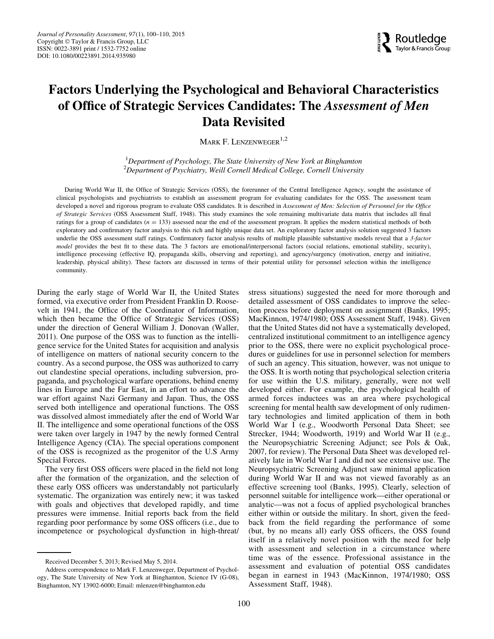

### Factors Underlying the Psychological and Behavioral Characteristics of Office of Strategic Services Candidates: The Assessment of Men Data Revisited

MARK F. LENZENWEGER<sup>1,2</sup>

<sup>1</sup>Department of Psychology, The State University of New York at Binghamton  $^{2}$ Department of Psychiatry, Weill Cornell Medical College, Cornell University

During World War II, the Office of Strategic Services (OSS), the forerunner of the Central Intelligence Agency, sought the assistance of clinical psychologists and psychiatrists to establish an assessment program for evaluating candidates for the OSS. The assessment team developed a novel and rigorous program to evaluate OSS candidates. It is described in Assessment of Men: Selection of Personnel for the Office of Strategic Services (OSS Assessment Staff, 1948). This study examines the sole remaining multivariate data matrix that includes all final ratings for a group of candidates  $(n = 133)$  assessed near the end of the assessment program. It applies the modern statistical methods of both exploratory and confirmatory factor analysis to this rich and highly unique data set. An exploratory factor analysis solution suggested 3 factors underlie the OSS assessment staff ratings. Confirmatory factor analysis results of multiple plausible substantive models reveal that a 3-factor model provides the best fit to these data. The 3 factors are emotional/interpersonal factors (social relations, emotional stability, security), intelligence processing (effective IQ, propaganda skills, observing and reporting), and agency/surgency (motivation, energy and initiative, leadership, physical ability). These factors are discussed in terms of their potential utility for personnel selection within the intelligence community.

During the early stage of World War II, the United States formed, via executive order from President Franklin D. Roosevelt in 1941, the Office of the Coordinator of Information, which then became the Office of Strategic Services (OSS) under the direction of General William J. Donovan (Waller, 2011). One purpose of the OSS was to function as the intelligence service for the United States for acquisition and analysis of intelligence on matters of national security concern to the country. As a second purpose, the OSS was authorized to carry out clandestine special operations, including subversion, propaganda, and psychological warfare operations, behind enemy lines in Europe and the Far East, in an effort to advance the war effort against Nazi Germany and Japan. Thus, the OSS served both intelligence and operational functions. The OSS was dissolved almost immediately after the end of World War II. The intelligence and some operational functions of the OSS were taken over largely in 1947 by the newly formed Central Intelligence Agency (CIA). The special operations component of the OSS is recognized as the progenitor of the U.S Army Special Forces.

The very first OSS officers were placed in the field not long after the formation of the organization, and the selection of these early OSS officers was understandably not particularly systematic. The organization was entirely new; it was tasked with goals and objectives that developed rapidly, and time pressures were immense. Initial reports back from the field regarding poor performance by some OSS officers (i.e., due to incompetence or psychological dysfunction in high-threat/ stress situations) suggested the need for more thorough and detailed assessment of OSS candidates to improve the selection process before deployment on assignment (Banks, 1995; MacKinnon, 1974/1980; OSS Assessment Staff, 1948). Given that the United States did not have a systematically developed, centralized institutional commitment to an intelligence agency prior to the OSS, there were no explicit psychological procedures or guidelines for use in personnel selection for members of such an agency. This situation, however, was not unique to the OSS. It is worth noting that psychological selection criteria for use within the U.S. military, generally, were not well developed either. For example, the psychological health of armed forces inductees was an area where psychological screening for mental health saw development of only rudimentary technologies and limited application of them in both World War I (e.g., Woodworth Personal Data Sheet; see Strecker, 1944; Woodworth, 1919) and World War II (e.g., the Neuropsychiatric Screening Adjunct; see Pols & Oak, 2007, for review). The Personal Data Sheet was developed relatively late in World War I and did not see extensive use. The Neuropsychiatric Screening Adjunct saw minimal application during World War II and was not viewed favorably as an effective screening tool (Banks, 1995). Clearly, selection of personnel suitable for intelligence work—either operational or analytic—was not a focus of applied psychological branches either within or outside the military. In short, given the feedback from the field regarding the performance of some (but, by no means all) early OSS officers, the OSS found itself in a relatively novel position with the need for help with assessment and selection in a circumstance where time was of the essence. Professional assistance in the assessment and evaluation of potential OSS candidates began in earnest in 1943 (MacKinnon, 1974/1980; OSS Assessment Staff, 1948).

Received December 5, 2013; Revised May 5, 2014.

Address correspondence to Mark F. Lenzenweger, Department of Psychology, The State University of New York at Binghamton, Science IV (G-08), Binghamton, NY 13902-6000; Email: mlenzen@binghamton.edu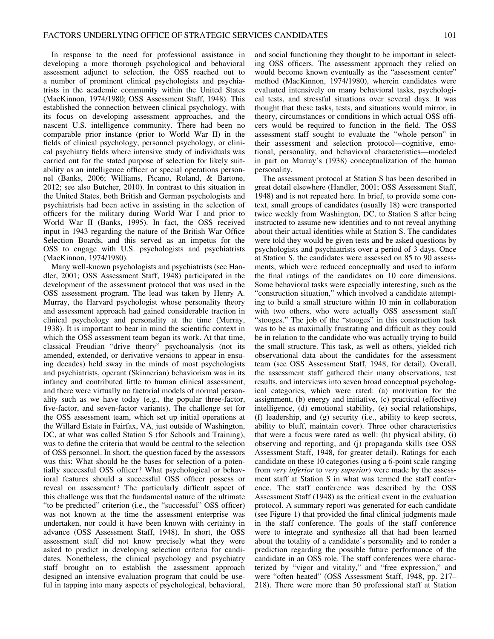In response to the need for professional assistance in developing a more thorough psychological and behavioral assessment adjunct to selection, the OSS reached out to a number of prominent clinical psychologists and psychiatrists in the academic community within the United States (MacKinnon, 1974/1980; OSS Assessment Staff, 1948). This established the connection between clinical psychology, with its focus on developing assessment approaches, and the nascent U.S. intelligence community. There had been no comparable prior instance (prior to World War II) in the fields of clinical psychology, personnel psychology, or clinical psychiatry fields where intensive study of individuals was carried out for the stated purpose of selection for likely suitability as an intelligence officer or special operations personnel (Banks, 2006; Williams, Picano, Roland, & Bartone, 2012; see also Butcher, 2010). In contrast to this situation in the United States, both British and German psychologists and psychiatrists had been active in assisting in the selection of officers for the military during World War I and prior to World War II (Banks, 1995). In fact, the OSS received input in 1943 regarding the nature of the British War Office Selection Boards, and this served as an impetus for the OSS to engage with U.S. psychologists and psychiatrists (MacKinnon, 1974/1980).

Many well-known psychologists and psychiatrists (see Handler, 2001; OSS Assessment Staff, 1948) participated in the development of the assessment protocol that was used in the OSS assessment program. The lead was taken by Henry A. Murray, the Harvard psychologist whose personality theory and assessment approach had gained considerable traction in clinical psychology and personality at the time (Murray, 1938). It is important to bear in mind the scientific context in which the OSS assessment team began its work. At that time, classical Freudian "drive theory" psychoanalysis (not its amended, extended, or derivative versions to appear in ensuing decades) held sway in the minds of most psychologists and psychiatrists, operant (Skinnerian) behaviorism was in its infancy and contributed little to human clinical assessment, and there were virtually no factorial models of normal personality such as we have today (e.g., the popular three-factor, five-factor, and seven-factor variants). The challenge set for the OSS assessment team, which set up initial operations at the Willard Estate in Fairfax, VA, just outside of Washington, DC, at what was called Station S (for Schools and Training), was to define the criteria that would be central to the selection of OSS personnel. In short, the question faced by the assessors was this: What should be the bases for selection of a potentially successful OSS officer? What psychological or behavioral features should a successful OSS officer possess or reveal on assessment? The particularly difficult aspect of this challenge was that the fundamental nature of the ultimate "to be predicted" criterion (i.e., the "successful" OSS officer) was not known at the time the assessment enterprise was undertaken, nor could it have been known with certainty in advance (OSS Assessment Staff, 1948). In short, the OSS assessment staff did not know precisely what they were asked to predict in developing selection criteria for candidates. Nonetheless, the clinical psychology and psychiatry staff brought on to establish the assessment approach designed an intensive evaluation program that could be useful in tapping into many aspects of psychological, behavioral,

and social functioning they thought to be important in selecting OSS officers. The assessment approach they relied on would become known eventually as the "assessment center" method (MacKinnon, 1974/1980), wherein candidates were evaluated intensively on many behavioral tasks, psychological tests, and stressful situations over several days. It was thought that these tasks, tests, and situations would mirror, in theory, circumstances or conditions in which actual OSS officers would be required to function in the field. The OSS assessment staff sought to evaluate the "whole person" in their assessment and selection protocol—cognitive, emotional, personality, and behavioral characteristics—modeled in part on Murray's (1938) conceptualization of the human personality.

The assessment protocol at Station S has been described in great detail elsewhere (Handler, 2001; OSS Assessment Staff, 1948) and is not repeated here. In brief, to provide some context, small groups of candidates (usually 18) were transported twice weekly from Washington, DC, to Station S after being instructed to assume new identities and to not reveal anything about their actual identities while at Station S. The candidates were told they would be given tests and be asked questions by psychologists and psychiatrists over a period of 3 days. Once at Station S, the candidates were assessed on 85 to 90 assessments, which were reduced conceptually and used to inform the final ratings of the candidates on 10 core dimensions. Some behavioral tasks were especially interesting, such as the "construction situation," which involved a candidate attempting to build a small structure within 10 min in collaboration with two others, who were actually OSS assessment staff "stooges." The job of the "stooges" in this construction task was to be as maximally frustrating and difficult as they could be in relation to the candidate who was actually trying to build the small structure. This task, as well as others, yielded rich observational data about the candidates for the assessment team (see OSS Assessment Staff, 1948, for detail). Overall, the assessment staff gathered their many observations, test results, and interviews into seven broad conceptual psychological categories, which were rated: (a) motivation for the assignment, (b) energy and initiative, (c) practical (effective) intelligence, (d) emotional stability, (e) social relationships, (f) leadership, and (g) security (i.e., ability to keep secrets, ability to bluff, maintain cover). Three other characteristics that were a focus were rated as well: (h) physical ability, (i) observing and reporting, and (j) propaganda skills (see OSS Assessment Staff, 1948, for greater detail). Ratings for each candidate on these 10 categories (using a 6-point scale ranging from very inferior to very superior) were made by the assessment staff at Station S in what was termed the staff conference. The staff conference was described by the OSS Assessment Staff (1948) as the critical event in the evaluation protocol. A summary report was generated for each candidate (see Figure 1) that provided the final clinical judgments made in the staff conference. The goals of the staff conference were to integrate and synthesize all that had been learned about the totality of a candidate's personality and to render a prediction regarding the possible future performance of the candidate in an OSS role. The staff conferences were characterized by "vigor and vitality," and "free expression," and were "often heated" (OSS Assessment Staff, 1948, pp. 217– 218). There were more than 50 professional staff at Station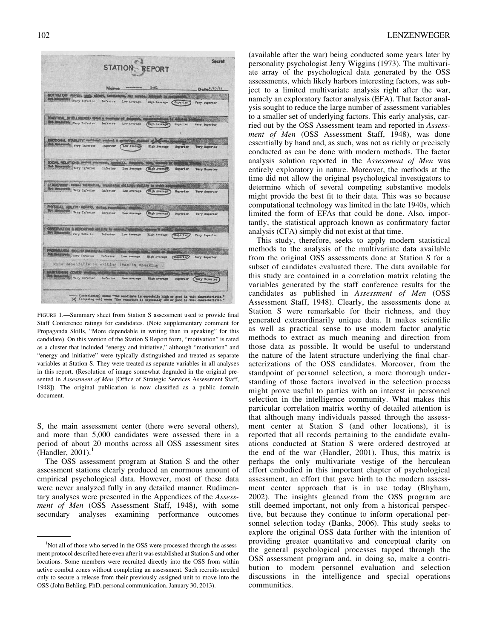|                                                                                                    |                     |                             | <b>STATION REPORT</b>                |                 | Secret                   |
|----------------------------------------------------------------------------------------------------|---------------------|-----------------------------|--------------------------------------|-----------------|--------------------------|
|                                                                                                    |                     | Name ********               | $5 - 61$                             |                 | Date <sup>8</sup> /20/44 |
| <b>SOTIVATION: manage, angl. aff</b>                                                               |                     | ri, initistiva, our morale. | <b>Antioxicate Says</b>              |                 |                          |
| od Mongoods Very Inferior                                                                          | Inferior            |                             | Low Average . High Average (Superior |                 | Very Superior            |
| <b>PRACTICAL BITELLIBENCE: 1900</b>                                                                | 5 & <i>boostree</i> |                             | <b>PERMIT RESIDEN</b>                |                 |                          |
| Monascurede Very Inferior                                                                          | Inferior            | Low Average                 | (High Average                        | <b>Superior</b> | Very Superior            |
| MOTIONAL STABILITY: unotional ountrol & materitie, ab                                              |                     |                             |                                      |                 |                          |
| Measured Yery Inferior                                                                             | Inferior (          | Low Average                 | <b>ELgh Average</b>                  | Superior        | <b>Very Superior</b>     |
| BOCIAL RELATIONS: sector enuropees, in                                                             |                     |                             |                                      |                 |                          |
| Est Monsteront Very Inferier                                                                       | Inferior            | Low Average                 | (Eigh Avers)                         | Superior        | <b>Very Superior</b>     |
| LEADERSHIP contal tmitnetive, organizing ability; shilling to evold.<br>ot Measureds Very Inferior | Inferior            | Low Average                 | (Elgh Average)                       | <b>Buporior</b> | <b>Very Superior</b>     |
| <b>FWSICAL ABILITY: egility, during, rugs</b>                                                      |                     |                             |                                      |                 |                          |
| ot thencerods very Inforior                                                                        | Infarior            | Low Average.                | <b>High Average</b>                  | <b>Buperior</b> | Vary Superior            |
| <b>JERVATION &amp; REPORTING: AMARIE TO 60</b>                                                     |                     |                             |                                      |                 |                          |
| Mangurudg, Very Inferior                                                                           | Inferior            | Low Average                 | <b>High Average</b>                  | Superior,       | <b>Tery Superior</b>     |
| <b>OPAGAMDA BIOLLS' IBATIVE</b><br>buttered Yery Inferior                                          |                     |                             |                                      |                 |                          |
| More dependable in writing than in speaking                                                        | Inferier            | Low Average                 | <b>High Average</b>                  | (Supering)      | Very Superior            |
| MINTAINING COVER: WH                                                                               |                     |                             |                                      |                 |                          |
| Renduzuels Very Inferior                                                                           | Inferior            | Low Average                 | <b>High Average</b>                  | Superior        | <b>Tery Superior</b>     |

FIGURE 1.—Summary sheet from Station S assessment used to provide final Staff Conference ratings for candidates. (Note supplementary comment for Propaganda Skills, "More dependable in writing than in speaking" for this candidate). On this version of the Station S Report form, "motivation" is rated as a cluster that included "energy and initiative," although "motivation" and "energy and initiative" were typically distinguished and treated as separate variables at Station S. They were treated as separate variables in all analyses in this report. (Resolution of image somewhat degraded in the original presented in Assessment of Men [Office of Strategic Services Assessment Staff, 1948]). The original publication is now classified as a public domain document.

S, the main assessment center (there were several others), and more than 5,000 candidates were assessed there in a period of about 20 months across all OSS assessment sites (Handler,  $2001$ ).<sup>1</sup>

The OSS assessment program at Station S and the other assessment stations clearly produced an enormous amount of empirical psychological data. However, most of these data were never analyzed fully in any detailed manner. Rudimentary analyses were presented in the Appendices of the Assessment of Men (OSS Assessment Staff, 1948), with some secondary analyses examining performance outcomes

(available after the war) being conducted some years later by personality psychologist Jerry Wiggins (1973). The multivariate array of the psychological data generated by the OSS assessments, which likely harbors interesting factors, was subject to a limited multivariate analysis right after the war, namely an exploratory factor analysis (EFA). That factor analysis sought to reduce the large number of assessment variables to a smaller set of underlying factors. This early analysis, carried out by the OSS Assessment team and reported in Assessment of Men (OSS Assessment Staff, 1948), was done essentially by hand and, as such, was not as richly or precisely conducted as can be done with modern methods. The factor analysis solution reported in the Assessment of Men was entirely exploratory in nature. Moreover, the methods at the time did not allow the original psychological investigators to determine which of several competing substantive models might provide the best fit to their data. This was so because computational technology was limited in the late 1940s, which limited the form of EFAs that could be done. Also, importantly, the statistical approach known as confirmatory factor analysis (CFA) simply did not exist at that time.

This study, therefore, seeks to apply modern statistical methods to the analysis of the multivariate data available from the original OSS assessments done at Station S for a subset of candidates evaluated there. The data available for this study are contained in a correlation matrix relating the variables generated by the staff conference results for the candidates as published in Assessment of Men (OSS Assessment Staff, 1948). Clearly, the assessments done at Station S were remarkable for their richness, and they generated extraordinarily unique data. It makes scientific as well as practical sense to use modern factor analytic methods to extract as much meaning and direction from those data as possible. It would be useful to understand the nature of the latent structure underlying the final characterizations of the OSS candidates. Moreover, from the standpoint of personnel selection, a more thorough understanding of those factors involved in the selection process might prove useful to parties with an interest in personnel selection in the intelligence community. What makes this particular correlation matrix worthy of detailed attention is that although many individuals passed through the assessment center at Station S (and other locations), it is reported that all records pertaining to the candidate evaluations conducted at Station S were ordered destroyed at the end of the war (Handler, 2001). Thus, this matrix is perhaps the only multivariate vestige of the herculean effort embodied in this important chapter of psychological assessment, an effort that gave birth to the modern assessment center approach that is in use today (Bhyham, 2002). The insights gleaned from the OSS program are still deemed important, not only from a historical perspective, but because they continue to inform operational personnel selection today (Banks, 2006). This study seeks to explore the original OSS data further with the intention of providing greater quantitative and conceptual clarity on the general psychological processes tapped through the OSS assessment program and, in doing so, make a contribution to modern personnel evaluation and selection discussions in the intelligence and special operations communities.

<sup>&</sup>lt;sup>1</sup>Not all of those who served in the OSS were processed through the assessment protocol described here even after it was established at Station S and other locations. Some members were recruited directly into the OSS from within active combat zones without completing an assessment. Such recruits needed only to secure a release from their previously assigned unit to move into the OSS (John Behling, PhD, personal communication, January 30, 2013).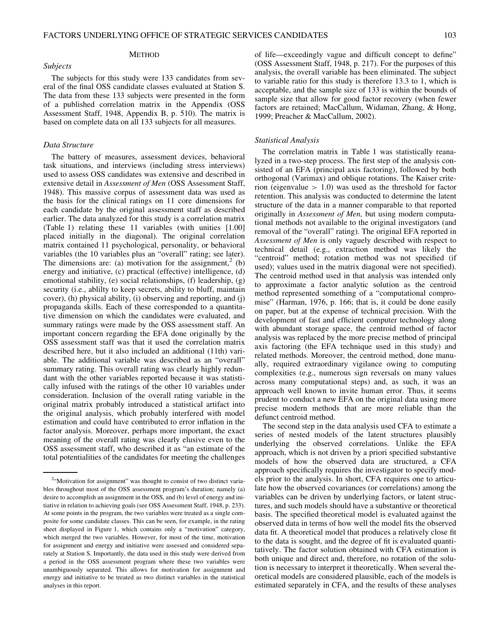#### METHOD

The subjects for this study were 133 candidates from several of the final OSS candidate classes evaluated at Station S. The data from these 133 subjects were presented in the form of a published correlation matrix in the Appendix (OSS Assessment Staff, 1948, Appendix B, p. 510). The matrix is based on complete data on all 133 subjects for all measures.

#### Data Structure

Subjects

The battery of measures, assessment devices, behavioral task situations, and interviews (including stress interviews) used to assess OSS candidates was extensive and described in extensive detail in Assessment of Men (OSS Assessment Staff, 1948). This massive corpus of assessment data was used as the basis for the clinical ratings on 11 core dimensions for each candidate by the original assessment staff as described earlier. The data analyzed for this study is a correlation matrix (Table 1) relating these 11 variables (with unities [1.00] placed initially in the diagonal). The original correlation matrix contained 11 psychological, personality, or behavioral variables (the 10 variables plus an "overall" rating; see later). The dimensions are: (a) motivation for the assignment,<sup>2</sup> (b) energy and initiative, (c) practical (effective) intelligence, (d) emotional stability, (e) social relationships, (f) leadership, (g) security (i.e., ablilty to keep secrets, ability to bluff, maintain cover), (h) physical ability, (i) observing and reporting, and (j) propaganda skills. Each of these corresponded to a quantitative dimension on which the candidates were evaluated, and summary ratings were made by the OSS assessment staff. An important concern regarding the EFA done originally by the OSS assessment staff was that it used the correlation matrix described here, but it also included an additional (11th) variable. The additional variable was described as an "overall" summary rating. This overall rating was clearly highly redundant with the other variables reported because it was statistically infused with the ratings of the other 10 variables under consideration. Inclusion of the overall rating variable in the original matrix probably introduced a statistical artifact into the original analysis, which probably interfered with model estimation and could have contributed to error inflation in the factor analysis. Moreover, perhaps more important, the exact meaning of the overall rating was clearly elusive even to the OSS assessment staff, who described it as "an estimate of the total potentialities of the candidates for meeting the challenges

of life—exceedingly vague and difficult concept to define" (OSS Assessment Staff, 1948, p. 217). For the purposes of this analysis, the overall variable has been eliminated. The subject to variable ratio for this study is therefore 13.3 to 1, which is acceptable, and the sample size of 133 is within the bounds of sample size that allow for good factor recovery (when fewer factors are retained; MacCallum, Widaman, Zhang, & Hong, 1999; Preacher & MacCallum, 2002).

#### Statistical Analysis

The correlation matrix in Table 1 was statistically reanalyzed in a two-step process. The first step of the analysis consisted of an EFA (principal axis factoring), followed by both orthogonal (Varimax) and oblique rotations. The Kaiser criterion (eigenvalue  $> 1.0$ ) was used as the threshold for factor retention. This analysis was conducted to determine the latent structure of the data in a manner comparable to that reported originally in Assessment of Men, but using modern computational methods not available to the original investigators (and removal of the "overall" rating). The original EFA reported in Assessment of Men is only vaguely described with respect to technical detail (e.g., extraction method was likely the "centroid" method; rotation method was not specified (if used); values used in the matrix diagonal were not specified). The centroid method used in that analysis was intended only to approximate a factor analytic solution as the centroid method represented something of a "computational compromise" (Harman, 1976, p. 166; that is, it could be done easily on paper, but at the expense of technical precision. With the development of fast and efficient computer technology along with abundant storage space, the centroid method of factor analysis was replaced by the more precise method of principal axis factoring (the EFA technique used in this study) and related methods. Moreover, the centroid method, done manually, required extraordinary vigilance owing to computing complexities (e.g., numerous sign reversals on many values across many computational steps) and, as such, it was an approach well known to invite human error. Thus, it seems prudent to conduct a new EFA on the original data using more precise modern methods that are more reliable than the defunct centroid method.

The second step in the data analysis used CFA to estimate a series of nested models of the latent structures plausibly underlying the observed correlations. Unlike the EFA approach, which is not driven by a priori specified substantive models of how the observed data are structured, a CFA approach specifically requires the investigator to specify models prior to the analysis. In short, CFA requires one to articulate how the observed covariances (or correlations) among the variables can be driven by underlying factors, or latent structures, and such models should have a substantive or theoretical basis. The specified theoretical model is evaluated against the observed data in terms of how well the model fits the observed data fit. A theoretical model that produces a relatively close fit to the data is sought, and the degree of fit is evaluated quantitatively. The factor solution obtained with CFA estimation is both unique and direct and, therefore, no rotation of the solution is necessary to interpret it theoretically. When several theoretical models are considered plausible, each of the models is estimated separately in CFA, and the results of these analyses

<sup>&</sup>lt;sup>2</sup>"Motivation for assignment" was thought to consist of two distinct variables throughout most of the OSS assessment program's duration; namely (a) desire to accomplish an assignment in the OSS, and (b) level of energy and initiative in relation to achieving goals (see OSS Assessment Staff, 1948, p. 233). At some points in the program, the two variables were treated as a single composite for some candidate classes. This can be seen, for example, in the rating sheet displayed in Figure 1, which contains only a "motivation" category, which merged the two variables. However, for most of the time, motivation for assignment and energy and initiative were assessed and considered separately at Station S. Importantly, the data used in this study were derived from a period in the OSS assessment program where these two variables were unambiguously separated. This allows for motivation for assignment and energy and initiative to be treated as two distinct variables in the statistical analyses in this report.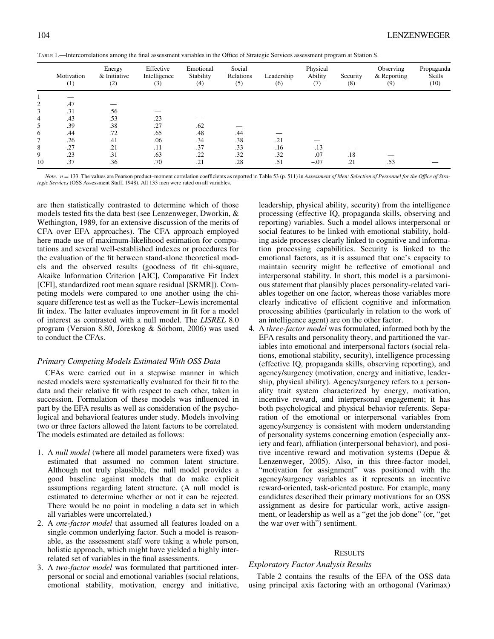| TABLE 1.—Intercorrelations among the final assessment variables in the Office of Strategic Services assessment program at Station S. |  |  |
|--------------------------------------------------------------------------------------------------------------------------------------|--|--|
|--------------------------------------------------------------------------------------------------------------------------------------|--|--|

|                | Motivation<br>(1) | Energy<br>& Initiative<br>(2) | Effective<br>Intelligence<br>(3) | Emotional<br>Stability<br>(4) | Social<br>Relations<br>(5) | Leadership<br>(6) | Physical<br>Ability<br>(7) | Security<br>(8) | Observing<br>& Reporting<br>(9) | Propaganda<br>Skills<br>(10) |
|----------------|-------------------|-------------------------------|----------------------------------|-------------------------------|----------------------------|-------------------|----------------------------|-----------------|---------------------------------|------------------------------|
|                |                   |                               |                                  |                               |                            |                   |                            |                 |                                 |                              |
| $\overline{2}$ | .47               |                               |                                  |                               |                            |                   |                            |                 |                                 |                              |
| 3              | .31               | .56                           |                                  |                               |                            |                   |                            |                 |                                 |                              |
| 4              | .43               | .53                           | .23                              |                               |                            |                   |                            |                 |                                 |                              |
| 5              | .39               | .38                           | .27                              | .62                           |                            |                   |                            |                 |                                 |                              |
| 6              | .44               | .72                           | .65                              | .48                           | .44                        |                   |                            |                 |                                 |                              |
|                | .26               | .41                           | .06                              | .34                           | .38                        | .21               |                            |                 |                                 |                              |
| 8              | .27               | .21                           | .11                              | .37                           | .33                        | .16               | .13                        |                 |                                 |                              |
| 9              | .23               | .31                           | .63                              | .22                           | .32                        | .32               | .07                        | .18             |                                 |                              |
| 10             | .37               | .36                           | .70                              | .21                           | .28                        | .51               | $-.07$                     | .21             | .53                             |                              |

Note.  $n = 133$ . The values are Pearson product–moment correlation coefficients as reported in Table 53 (p. 511) in Assessment of Men: Selection of Personnel for the Office of Strategic Services (OSS Assessment Staff, 1948). All 133 men were rated on all variables.

are then statistically contrasted to determine which of those models tested fits the data best (see Lenzenweger, Dworkin, & Wethington, 1989, for an extensive discussion of the merits of CFA over EFA approaches). The CFA approach employed here made use of maximum-likelihood estimation for computations and several well-established indexes or procedures for the evaluation of the fit between stand-alone theoretical models and the observed results (goodness of fit chi-square, Akaike Information Criterion [AIC], Comparative Fit Index [CFI], standardized root mean square residual [SRMR]). Competing models were compared to one another using the chisquare difference test as well as the Tucker–Lewis incremental fit index. The latter evaluates improvement in fit for a model of interest as contrasted with a null model. The LISREL 8.0 program (Version 8.80, Jöreskog & Sörbom, 2006) was used to conduct the CFAs.

#### Primary Competing Models Estimated With OSS Data

CFAs were carried out in a stepwise manner in which nested models were systematically evaluated for their fit to the data and their relative fit with respect to each other, taken in succession. Formulation of these models was influenced in part by the EFA results as well as consideration of the psychological and behavioral features under study. Models involving two or three factors allowed the latent factors to be correlated. The models estimated are detailed as follows:

- 1. A null model (where all model parameters were fixed) was estimated that assumed no common latent structure. Although not truly plausible, the null model provides a good baseline against models that do make explicit assumptions regarding latent structure. (A null model is estimated to determine whether or not it can be rejected. There would be no point in modeling a data set in which all variables were uncorrelated.)
- 2. A one-factor model that assumed all features loaded on a single common underlying factor. Such a model is reasonable, as the assessment staff were taking a whole person, holistic approach, which might have yielded a highly interrelated set of variables in the final assessments.
- 3. A two-factor model was formulated that partitioned interpersonal or social and emotional variables (social relations, emotional stability, motivation, energy and initiative,

leadership, physical ability, security) from the intelligence processing (effective IQ, propaganda skills, observing and reporting) variables. Such a model allows interpersonal or social features to be linked with emotional stability, holding aside processes clearly linked to cognitive and information processing capabilities. Security is linked to the emotional factors, as it is assumed that one's capacity to maintain security might be reflective of emotional and interpersonal stability. In short, this model is a parsimonious statement that plausibly places personality-related variables together on one factor, whereas those variables more clearly indicative of efficient cognitive and information processing abilities (particularly in relation to the work of an intelligence agent) are on the other factor.

4. A three-factor model was formulated, informed both by the EFA results and personality theory, and partitioned the variables into emotional and interpersonal factors (social relations, emotional stability, security), intelligence processing (effective IQ, propaganda skills, observing reporting), and agency/surgency (motivation, energy and initiative, leadership, physical ability). Agency/surgency refers to a personality trait system characterized by energy, motivation, incentive reward, and interpersonal engagement; it has both psychological and physical behavior referents. Separation of the emotional or interpersonal variables from agency/surgency is consistent with modern understanding of personality systems concerning emotion (especially anxiety and fear), affiliation (interpersonal behavior), and positive incentive reward and motivation systems (Depue & Lenzenweger, 2005). Also, in this three-factor model, "motivation for assignment" was positioned with the agency/surgency variables as it represents an incentive reward-oriented, task-oriented posture. For example, many candidates described their primary motivations for an OSS assignment as desire for particular work, active assignment, or leadership as well as a "get the job done" (or, "get the war over with") sentiment.

#### RESULTS

#### Exploratory Factor Analysis Results

Table 2 contains the results of the EFA of the OSS data using principal axis factoring with an orthogonal (Varimax)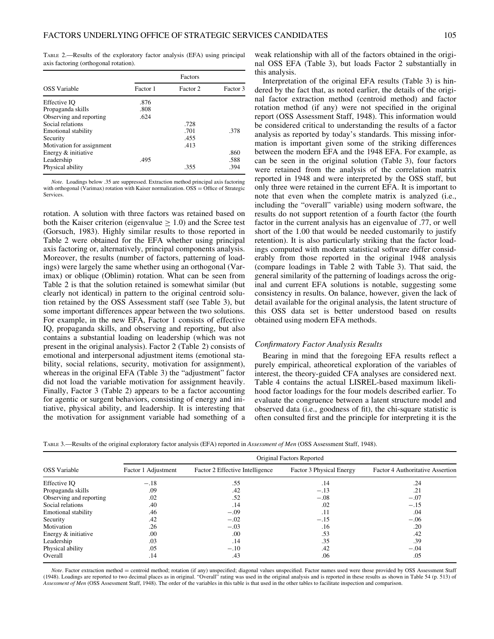TABLE 2.—Results of the exploratory factor analysis (EFA) using principal axis factoring (orthogonal rotation).

|                            |          | Factors  |          |
|----------------------------|----------|----------|----------|
| <b>OSS</b> Variable        | Factor 1 | Factor 2 | Factor 3 |
| Effective IO               | .876     |          |          |
| Propaganda skills          | .808     |          |          |
| Observing and reporting    | .624     |          |          |
| Social relations           |          | .728     |          |
| <b>Emotional stability</b> |          | .701     | .378     |
| Security                   |          | .455     |          |
| Motivation for assignment  |          | .413     |          |
| Energy & initiative        |          |          | .860     |
| Leadership                 | .495     |          | .588     |
| Physical ability           |          | .355     | .394     |

Note. Loadings below .35 are suppressed. Extraction method principal axis factoring with orthogonal (Varimax) rotation with Kaiser normalization.  $OSS =$  Office of Strategic **Services** 

rotation. A solution with three factors was retained based on both the Kaiser criterion (eigenvalue  $\geq 1.0$ ) and the Scree test (Gorsuch, 1983). Highly similar results to those reported in Table 2 were obtained for the EFA whether using principal axis factoring or, alternatively, principal components analysis. Moreover, the results (number of factors, patterning of loadings) were largely the same whether using an orthogonal (Varimax) or oblique (Oblimin) rotation. What can be seen from Table 2 is that the solution retained is somewhat similar (but clearly not identical) in pattern to the original centroid solution retained by the OSS Assessment staff (see Table 3), but some important differences appear between the two solutions. For example, in the new EFA, Factor 1 consists of effective IQ, propaganda skills, and observing and reporting, but also contains a substantial loading on leadership (which was not present in the original analysis). Factor 2 (Table 2) consists of emotional and interpersonal adjustment items (emotional stability, social relations, security, motivation for assignment), whereas in the original EFA (Table 3) the "adjustment" factor did not load the variable motivation for assignment heavily. Finally, Factor 3 (Table 2) appears to be a factor accounting for agentic or surgent behaviors, consisting of energy and initiative, physical ability, and leadership. It is interesting that the motivation for assignment variable had something of a

weak relationship with all of the factors obtained in the original OSS EFA (Table 3), but loads Factor 2 substantially in this analysis.

Interpretation of the original EFA results (Table 3) is hindered by the fact that, as noted earlier, the details of the original factor extraction method (centroid method) and factor rotation method (if any) were not specified in the original report (OSS Assessment Staff, 1948). This information would be considered critical to understanding the results of a factor analysis as reported by today's standards. This missing information is important given some of the striking differences between the modern EFA and the 1948 EFA. For example, as can be seen in the original solution (Table 3), four factors were retained from the analysis of the correlation matrix reported in 1948 and were interpreted by the OSS staff, but only three were retained in the current EFA. It is important to note that even when the complete matrix is analyzed (i.e., including the "overall" variable) using modern software, the results do not support retention of a fourth factor (the fourth factor in the current analysis has an eigenvalue of .77, or well short of the 1.00 that would be needed customarily to justify retention). It is also particularly striking that the factor loadings computed with modern statistical software differ considerably from those reported in the original 1948 analysis (compare loadings in Table 2 with Table 3). That said, the general similarity of the patterning of loadings across the original and current EFA solutions is notable, suggesting some consistency in results. On balance, however, given the lack of detail available for the original analysis, the latent structure of this OSS data set is better understood based on results obtained using modern EFA methods.

#### Confirmatory Factor Analysis Results

Bearing in mind that the foregoing EFA results reflect a purely empirical, atheoretical exploration of the variables of interest, the theory-guided CFA analyses are considered next. Table 4 contains the actual LISREL-based maximum likelihood factor loadings for the four models described earlier. To evaluate the congruence between a latent structure model and observed data (i.e., goodness of fit), the chi-square statistic is often consulted first and the principle for interpreting it is the

TABLE 3.—Results of the original exploratory factor analysis (EFA) reported in Assessment of Men (OSS Assessment Staff, 1948).

|                            | Original Factors Reported |                                 |                          |                                  |  |  |  |
|----------------------------|---------------------------|---------------------------------|--------------------------|----------------------------------|--|--|--|
| <b>OSS</b> Variable        | Factor 1 Adjustment       | Factor 2 Effective Intelligence | Factor 3 Physical Energy | Factor 4 Authoritative Assertion |  |  |  |
| Effective IQ               | $-.18$                    | .55                             | .14                      | .24                              |  |  |  |
| Propaganda skills          | .09                       | .42                             | $-.13$                   | .21                              |  |  |  |
| Observing and reporting    | .02                       | .52                             | $-.08$                   | $-.07$                           |  |  |  |
| Social relations           | .40                       | .14                             | .02                      | $-.15$                           |  |  |  |
| <b>Emotional stability</b> | .46                       | $-.09$                          | .11                      | .04                              |  |  |  |
| Security                   | .42                       | $-.02$                          | $-.15$                   | $-.06$                           |  |  |  |
| Motivation                 | .26                       | $-.03$                          | .16                      | .20                              |  |  |  |
| Energy & initiative        | .00                       | .00                             | .53                      | .42                              |  |  |  |
| Leadership                 | .03                       | .14                             | .35                      | .39                              |  |  |  |
| Physical ability           | .05                       | $-.10$                          | .42                      | $-.04$                           |  |  |  |
| Overall                    | .14                       | .43                             | .06                      | .05                              |  |  |  |

Note. Factor extraction method = centroid method; rotation (if any) unspecified; diagonal values unspecified. Factor names used were those provided by OSS Assessment Staff (1948). Loadings are reported to two decimal places as in original. "Overall" rating was used in the original analysis and is reported in these results as shown in Table 54 (p. 513) of Assessment of Men (OSS Assessment Staff, 1948). The order of the variables in this table is that used in the other tables to facilitate inspection and comparison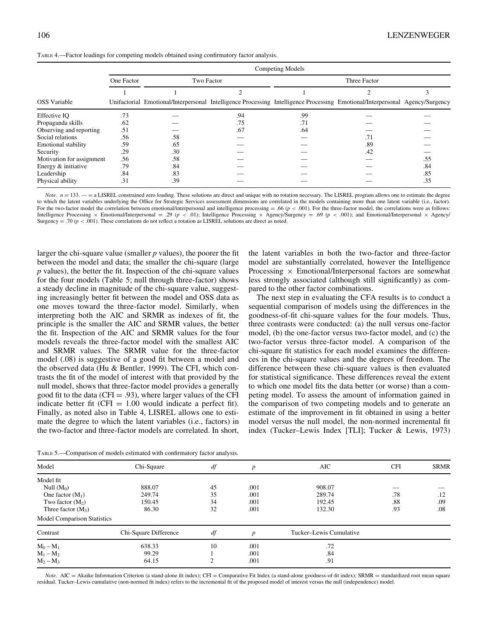|  |  | TABLE 4.—Factor loadings for competing models obtained using confirmatory factor analysis. |  |
|--|--|--------------------------------------------------------------------------------------------|--|
|--|--|--------------------------------------------------------------------------------------------|--|

|                            |            |                                                                                                                              |     | Competing Models |              |     |
|----------------------------|------------|------------------------------------------------------------------------------------------------------------------------------|-----|------------------|--------------|-----|
|                            | One Factor | Two Factor                                                                                                                   |     |                  | Three Factor |     |
|                            |            |                                                                                                                              |     |                  |              |     |
| <b>OSS</b> Variable        |            | Unifactorial Emotional/Interpersonal Intelligence Processing Intelligence Processing Emotional/Interpersonal Agency/Surgency |     |                  |              |     |
| Effective IO               | .73        |                                                                                                                              | .94 | .99              |              |     |
| Propaganda skills          | .62        |                                                                                                                              | .75 | .71              |              |     |
| Observing and reporting    | .51        |                                                                                                                              | .67 | .64              |              |     |
| Social relations           | .56        | .58                                                                                                                          |     |                  | .71          |     |
| <b>Emotional stability</b> | .59        | .65                                                                                                                          |     |                  | .89          |     |
| Security                   | .29        | .30                                                                                                                          |     |                  | .42          |     |
| Motivation for assignment  | .56        | .58                                                                                                                          |     |                  |              | .55 |
| Energy & initiative        | .79        | .84                                                                                                                          |     |                  |              | .84 |
| Leadership                 | .84        | .83                                                                                                                          |     |                  |              | .85 |
| Physical ability           | .31        | .39                                                                                                                          |     |                  |              | .35 |

Note.  $n = 133$ .  $-$  = a LISREL constrained zero loading. These solutions are direct and unique with no rotation necessary. The LISREL program allows one to estimate the degree to which the latent variables underlying the Office for Strategic Services assessment dimensions are correlated in the models containing more than one latent variable (i.e., factor). For the two-factor model the correlation between emotional/interpersonal and intelligence processing  $=$  .66 ( $p$  < .001). For the three-factor model, the correlations were as follows: Intelligence Processing  $\times$  Emotional/Interpersonal = .29 (p < .01); Intelligence Processing  $\times$  Agency/Surgency = .69 (p < .001); and Emotional/Interpersonal  $\times$  Agency/ Surgency = .70 ( $p < .001$ ). These correlations do not reflect a rotation as LISREL solutions are direct as noted.

larger the chi-square value (smaller  $p$  values), the poorer the fit between the model and data; the smaller the chi-square (large p values), the better the fit. Inspection of the chi-square values for the four models (Table 5; null through three-factor) shows a steady decline in magnitude of the chi-square value, suggesting increasingly better fit between the model and OSS data as one moves toward the three-factor model. Similarly, when interpreting both the AIC and SRMR as indexes of fit, the principle is the smaller the AIC and SRMR values, the better the fit. Inspection of the AIC and SRMR values for the four models reveals the three-factor model with the smallest AIC and SRMR values. The SRMR value for the three-factor model (.08) is suggestive of a good fit between a model and the observed data (Hu & Bentler, 1999). The CFI, which contrasts the fit of the model of interest with that provided by the null model, shows that three-factor model provides a generally good fit to the data (CFI  $= .93$ ), where larger values of the CFI indicate better fit (CFI  $= 1.00$  would indicate a perfect fit). Finally, as noted also in Table 4, LISREL allows one to estimate the degree to which the latent variables (i.e., factors) in the two-factor and three-factor models are correlated. In short,

TABLE 5.—Comparison of models estimated with confirmatory factor analysis.

the latent variables in both the two-factor and three-factor model are substantially correlated, however the Intelligence Processing  $\times$  Emotional/Interpersonal factors are somewhat less strongly associated (although still significantly) as compared to the other factor combinations.

The next step in evaluating the CFA results is to conduct a sequential comparison of models using the differences in the goodness-of-fit chi-square values for the four models. Thus, three contrasts were conducted: (a) the null versus one-factor model, (b) the one-factor versus two-factor model, and (c) the two-factor versus three-factor model. A comparison of the chi-square fit statistics for each model examines the differences in the chi-square values and the degrees of freedom. The difference between these chi-square values is then evaluated for statistical significance. These differences reveal the extent to which one model fits the data better (or worse) than a competing model. To assess the amount of information gained in the comparison of two competing models and to generate an estimate of the improvement in fit obtained in using a better model versus the null model, the non-normed incremental fit index (Tucker–Lewis Index [TLI]; Tucker & Lewis, 1973)

| Model                              | Chi-Square            | df         | p                | AIC                     | <b>CFI</b> | <b>SRMR</b> |
|------------------------------------|-----------------------|------------|------------------|-------------------------|------------|-------------|
| Model fit                          |                       |            |                  |                         |            |             |
| Null $(M_0)$                       | 888.07                | 45         | .001             | 908.07                  |            |             |
| One factor $(M_1)$                 | 249.74                | 35         | .001             | 289.74                  | .78        | .12         |
| Two factor $(M_2)$                 | 150.45                | 34         | .001             | 192.45                  | .88        | .09         |
| Three factor $(M_3)$               | 86.30                 | 32         | .001             | 132.30                  | .93        | .08         |
| <b>Model Comparison Statistics</b> |                       |            |                  |                         |            |             |
| Contrast                           | Chi-Square Difference | df         | $\boldsymbol{D}$ | Tucker–Lewis Cumulative |            |             |
| $M_0 - M_1$                        | 638.33                | 10         | .001             | .72                     |            |             |
| $M_1 - M_2$                        | 99.29                 |            | .001             | .84                     |            |             |
| $M_2 - M_3$                        | 64.15                 | $\bigcirc$ | .001             | .91                     |            |             |

 $Note. AIC = Akaike Information Criterion (a stand-alone fit index); CFI = Comparative Fit Index (a stand-alone and and and aalone goodness-of-fit index); SRMR = standardized root mean square.$ residual. Tucker–Lewis cumulative (non-normed fit index) refers to the incremental fit of the proposed model of interest versus the null (independence) model.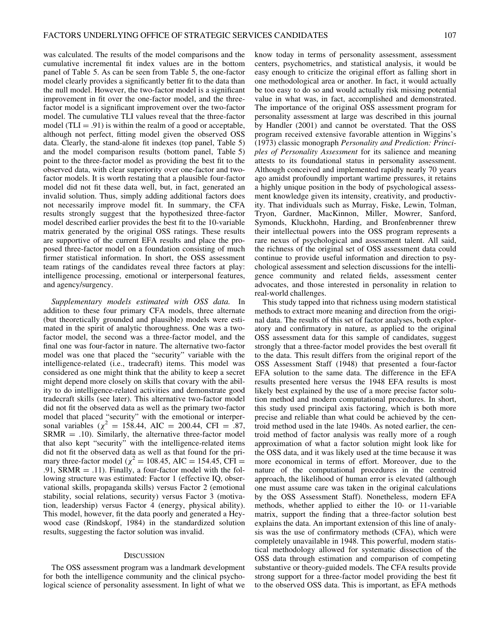was calculated. The results of the model comparisons and the cumulative incremental fit index values are in the bottom panel of Table 5. As can be seen from Table 5, the one-factor model clearly provides a significantly better fit to the data than the null model. However, the two-factor model is a significant improvement in fit over the one-factor model, and the threefactor model is a significant improvement over the two-factor model. The cumulative TLI values reveal that the three-factor model (TLI  $= .91$ ) is within the realm of a good or acceptable, although not perfect, fitting model given the observed OSS data. Clearly, the stand-alone fit indexes (top panel, Table 5) and the model comparison results (bottom panel, Table 5) point to the three-factor model as providing the best fit to the observed data, with clear superiority over one-factor and twofactor models. It is worth restating that a plausible four-factor model did not fit these data well, but, in fact, generated an invalid solution. Thus, simply adding additional factors does not necessarily improve model fit. In summary, the CFA results strongly suggest that the hypothesized three-factor model described earlier provides the best fit to the 10-variable matrix generated by the original OSS ratings. These results are supportive of the current EFA results and place the proposed three-factor model on a foundation consisting of much firmer statistical information. In short, the OSS assessment team ratings of the candidates reveal three factors at play: intelligence processing, emotional or interpersonal features, and agency/surgency.

Supplementary models estimated with OSS data. In addition to these four primary CFA models, three alternate (but theoretically grounded and plausible) models were estimated in the spirit of analytic thoroughness. One was a twofactor model, the second was a three-factor model, and the final one was four-factor in nature. The alternative two-factor model was one that placed the "security" variable with the intelligence-related (i.e., tradecraft) items. This model was considered as one might think that the ability to keep a secret might depend more closely on skills that covary with the ability to do intelligence-related activities and demonstrate good tradecraft skills (see later). This alternative two-factor model did not fit the observed data as well as the primary two-factor model that placed "security" with the emotional or interpersonal variables ( $\chi^2 = 158.44$ , AIC = 200.44, CFI = .87,  $SRMR = .10$ ). Similarly, the alternative three-factor model that also kept "security" with the intelligence-related items did not fit the observed data as well as that found for the primary three-factor model ( $\chi^2$  = 108.45, AIC = 154.45, CFI = .91, SRMR  $=$  .11). Finally, a four-factor model with the following structure was estimated: Factor 1 (effective IQ, observational skills, propaganda skills) versus Factor 2 (emotional stability, social relations, security) versus Factor 3 (motivation, leadership) versus Factor 4 (energy, physical ability). This model, however, fit the data poorly and generated a Heywood case (Rindskopf, 1984) in the standardized solution results, suggesting the factor solution was invalid.

#### **DISCUSSION**

The OSS assessment program was a landmark development for both the intelligence community and the clinical psychological science of personality assessment. In light of what we

know today in terms of personality assessment, assessment centers, psychometrics, and statistical analysis, it would be easy enough to criticize the original effort as falling short in one methodological area or another. In fact, it would actually be too easy to do so and would actually risk missing potential value in what was, in fact, accomplished and demonstrated. The importance of the original OSS assessment program for personality assessment at large was described in this journal by Handler (2001) and cannot be overstated. That the OSS program received extensive favorable attention in Wiggins's (1973) classic monograph Personality and Prediction: Principles of Personality Assessment for its salience and meaning attests to its foundational status in personality assessment. Although conceived and implemented rapidly nearly 70 years ago amidst profoundly important wartime pressures, it retains a highly unique position in the body of psychological assessment knowledge given its intensity, creativity, and productivity. That individuals such as Murray, Fiske, Lewin, Tolman, Tryon, Gardner, MacKinnon, Miller, Mowrer, Sanford, Symonds, Kluckhohn, Harding, and Bronfenbrenner threw their intellectual powers into the OSS program represents a rare nexus of psychological and assessment talent. All said, the richness of the original set of OSS assessment data could continue to provide useful information and direction to psychological assessment and selection discussions for the intelligence community and related fields, assessment center advocates, and those interested in personality in relation to real-world challenges.

This study tapped into that richness using modern statistical methods to extract more meaning and direction from the original data. The results of this set of factor analyses, both exploratory and confirmatory in nature, as applied to the original OSS assessment data for this sample of candidates, suggest strongly that a three-factor model provides the best overall fit to the data. This result differs from the original report of the OSS Assessment Staff (1948) that presented a four-factor EFA solution to the same data. The difference in the EFA results presented here versus the 1948 EFA results is most likely best explained by the use of a more precise factor solution method and modern computational procedures. In short, this study used principal axis factoring, which is both more precise and reliable than what could be achieved by the centroid method used in the late 1940s. As noted earlier, the centroid method of factor analysis was really more of a rough approximation of what a factor solution might look like for the OSS data, and it was likely used at the time because it was more economical in terms of effort. Moreover, due to the nature of the computational procedures in the centroid approach, the likelihood of human error is elevated (although one must assume care was taken in the original calculations by the OSS Assessment Staff). Nonetheless, modern EFA methods, whether applied to either the 10- or 11-variable matrix, support the finding that a three-factor solution best explains the data. An important extension of this line of analysis was the use of confirmatory methods (CFA), which were completely unavailable in 1948. This powerful, modern statistical methodology allowed for systematic dissection of the OSS data through estimation and comparison of competing substantive or theory-guided models. The CFA results provide strong support for a three-factor model providing the best fit to the observed OSS data. This is important, as EFA methods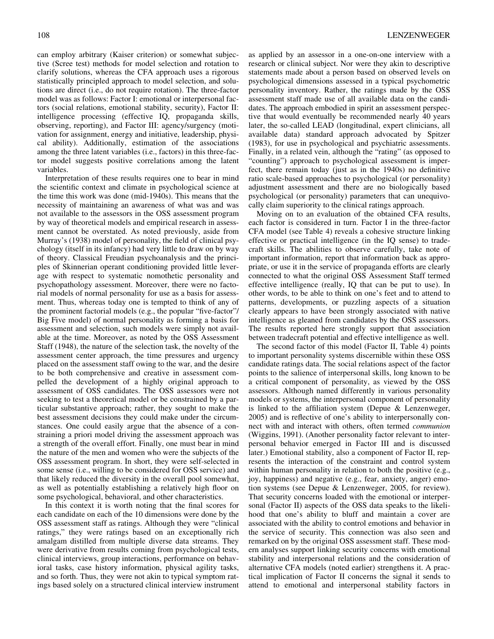can employ arbitrary (Kaiser criterion) or somewhat subjective (Scree test) methods for model selection and rotation to clarify solutions, whereas the CFA approach uses a rigorous statistically principled approach to model selection, and solutions are direct (i.e., do not require rotation). The three-factor model was as follows: Factor I: emotional or interpersonal factors (social relations, emotional stability, security), Factor II: intelligence processing (effective IQ, propaganda skills, observing, reporting), and Factor III: agency/surgency (motivation for assignment, energy and initiative, leadership, physical ability). Additionally, estimation of the associations among the three latent variables (i.e., factors) in this three-factor model suggests positive correlations among the latent variables.

Interpretation of these results requires one to bear in mind the scientific context and climate in psychological science at the time this work was done (mid-1940s). This means that the necessity of maintaining an awareness of what was and was not available to the assessors in the OSS assessment program by way of theoretical models and empirical research in assessment cannot be overstated. As noted previously, aside from Murray's (1938) model of personality, the field of clinical psychology (itself in its infancy) had very little to draw on by way of theory. Classical Freudian psychoanalysis and the principles of Skinnerian operant conditioning provided little leverage with respect to systematic nomothetic personality and psychopathology assessment. Moreover, there were no factorial models of normal personality for use as a basis for assessment. Thus, whereas today one is tempted to think of any of the prominent factorial models (e.g., the popular "five-factor"/ Big Five model) of normal personality as forming a basis for assessment and selection, such models were simply not available at the time. Moreover, as noted by the OSS Assessment Staff (1948), the nature of the selection task, the novelty of the assessment center approach, the time pressures and urgency placed on the assessment staff owing to the war, and the desire to be both comprehensive and creative in assessment compelled the development of a highly original approach to assessment of OSS candidates. The OSS assessors were not seeking to test a theoretical model or be constrained by a particular substantive approach; rather, they sought to make the best assessment decisions they could make under the circumstances. One could easily argue that the absence of a constraining a priori model driving the assessment approach was a strength of the overall effort. Finally, one must bear in mind the nature of the men and women who were the subjects of the OSS assessment program. In short, they were self-selected in some sense (i.e., willing to be considered for OSS service) and that likely reduced the diversity in the overall pool somewhat, as well as potentially establishing a relatively high floor on some psychological, behavioral, and other characteristics.

In this context it is worth noting that the final scores for each candidate on each of the 10 dimensions were done by the OSS assessment staff as ratings. Although they were "clinical ratings," they were ratings based on an exceptionally rich amalgam distilled from multiple diverse data streams. They were derivative from results coming from psychological tests, clinical interviews, group interactions, performance on behavioral tasks, case history information, physical agility tasks, and so forth. Thus, they were not akin to typical symptom ratings based solely on a structured clinical interview instrument

as applied by an assessor in a one-on-one interview with a research or clinical subject. Nor were they akin to descriptive statements made about a person based on observed levels on psychological dimensions assessed in a typical psychometric personality inventory. Rather, the ratings made by the OSS assessment staff made use of all available data on the candidates. The approach embodied in spirit an assessment perspective that would eventually be recommended nearly 40 years later, the so-called LEAD (longitudinal, expert clinicians, all available data) standard approach advocated by Spitzer (1983), for use in psychological and psychiatric assessments. Finally, in a related vein, although the "rating" (as opposed to "counting") approach to psychological assessment is imperfect, there remain today (just as in the 1940s) no definitive ratio scale-based approaches to psychological (or personality) adjustment assessment and there are no biologically based psychological (or personality) parameters that can unequivocally claim superiority to the clinical ratings approach.

Moving on to an evaluation of the obtained CFA results, each factor is considered in turn. Factor I in the three-factor CFA model (see Table 4) reveals a cohesive structure linking effective or practical intelligence (in the IQ sense) to tradecraft skills. The abilities to observe carefully, take note of important information, report that information back as appropriate, or use it in the service of propaganda efforts are clearly connected to what the original OSS Assessment Staff termed effective intelligence (really, IQ that can be put to use). In other words, to be able to think on one's feet and to attend to patterns, developments, or puzzling aspects of a situation clearly appears to have been strongly associated with native intelligence as gleaned from candidates by the OSS assessors. The results reported here strongly support that association between tradecraft potential and effective intelligence as well.

The second factor of this model (Factor II, Table 4) points to important personality systems discernible within these OSS candidate ratings data. The social relations aspect of the factor points to the salience of interpersonal skills, long known to be a critical component of personality, as viewed by the OSS assessors. Although named differently in various personality models or systems, the interpersonal component of personality is linked to the affiliation system (Depue & Lenzenweger, 2005) and is reflective of one's ability to interpersonally connect with and interact with others, often termed communion (Wiggins, 1991). (Another personality factor relevant to interpersonal behavior emerged in Factor III and is discussed later.) Emotional stability, also a component of Factor II, represents the interaction of the constraint and control system within human personality in relation to both the positive (e.g., joy, happiness) and negative (e.g., fear, anxiety, anger) emotion systems (see Depue & Lenzenweger, 2005, for review). That security concerns loaded with the emotional or interpersonal (Factor II) aspects of the OSS data speaks to the likelihood that one's ability to bluff and maintain a cover are associated with the ability to control emotions and behavior in the service of security. This connection was also seen and remarked on by the original OSS assessment staff. These modern analyses support linking security concerns with emotional stability and interpersonal relations and the consideration of alternative CFA models (noted earlier) strengthens it. A practical implication of Factor II concerns the signal it sends to attend to emotional and interpersonal stability factors in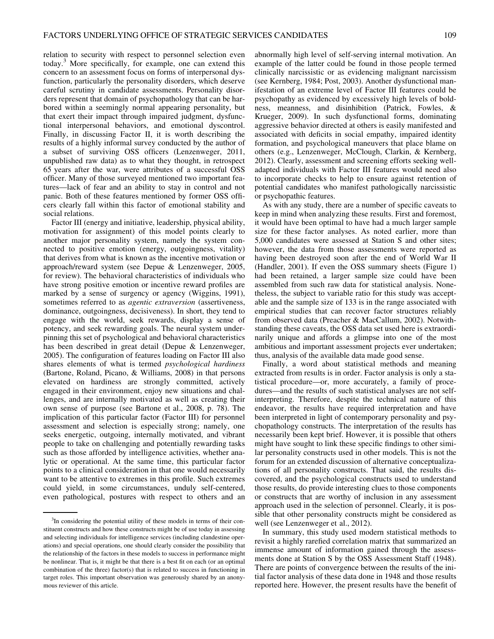relation to security with respect to personnel selection even today.<sup>3</sup> More specifically, for example, one can extend this concern to an assessment focus on forms of interpersonal dysfunction, particularly the personality disorders, which deserve careful scrutiny in candidate assessments. Personality disorders represent that domain of psychopathology that can be harbored within a seemingly normal appearing personality, but that exert their impact through impaired judgment, dysfunctional interpersonal behaviors, and emotional dyscontrol. Finally, in discussing Factor II, it is worth describing the results of a highly informal survey conducted by the author of a subset of surviving OSS officers (Lenzenweger, 2011, unpublished raw data) as to what they thought, in retrospect 65 years after the war, were attributes of a successful OSS officer. Many of those surveyed mentioned two important features—lack of fear and an ability to stay in control and not panic. Both of these features mentioned by former OSS officers clearly fall within this factor of emotional stability and social relations.

Factor III (energy and initiative, leadership, physical ability, motivation for assignment) of this model points clearly to another major personality system, namely the system connected to positive emotion (energy, outgoingness, vitality) that derives from what is known as the incentive motivation or approach/reward system (see Depue & Lenzenweger, 2005, for review). The behavioral characteristics of individuals who have strong positive emotion or incentive reward profiles are marked by a sense of surgency or agency (Wiggins, 1991), sometimes referred to as *agentic extraversion* (assertiveness, dominance, outgoingness, decisiveness). In short, they tend to engage with the world, seek rewards, display a sense of potency, and seek rewarding goals. The neural system underpinning this set of psychological and behavioral characteristics has been described in great detail (Depue & Lenzenweger, 2005). The configuration of features loading on Factor III also shares elements of what is termed psychological hardiness (Bartone, Roland, Picano, & Williams, 2008) in that persons elevated on hardiness are strongly committed, actively engaged in their environment, enjoy new situations and challenges, and are internally motivated as well as creating their own sense of purpose (see Bartone et al., 2008, p. 78). The implication of this particular factor (Factor III) for personnel assessment and selection is especially strong; namely, one seeks energetic, outgoing, internally motivated, and vibrant people to take on challenging and potentially rewarding tasks such as those afforded by intelligence activities, whether analytic or operational. At the same time, this particular factor points to a clinical consideration in that one would necessarily want to be attentive to extremes in this profile. Such extremes could yield, in some circumstances, unduly self-centered, even pathological, postures with respect to others and an

abnormally high level of self-serving internal motivation. An example of the latter could be found in those people termed clinically narcissistic or as evidencing malignant narcissism (see Kernberg, 1984; Post, 2003). Another dysfunctional manifestation of an extreme level of Factor III features could be psychopathy as evidenced by excessively high levels of boldness, meanness, and disinhibition (Patrick, Fowles, & Krueger, 2009). In such dysfunctional forms, dominating aggressive behavior directed at others is easily manifested and associated with deficits in social empathy, impaired identity formation, and psychological maneuvers that place blame on others (e.g., Lenzenweger, McClough, Clarkin, & Kernberg, 2012). Clearly, assessment and screening efforts seeking welladapted individuals with Factor III features would need also to incorporate checks to help to ensure against retention of potential candidates who manifest pathologically narcissistic or psychopathic features.

As with any study, there are a number of specific caveats to keep in mind when analyzing these results. First and foremost, it would have been optimal to have had a much larger sample size for these factor analyses. As noted earlier, more than 5,000 candidates were assessed at Station S and other sites; however, the data from those assessments were reported as having been destroyed soon after the end of World War II (Handler, 2001). If even the OSS summary sheets (Figure 1) had been retained, a larger sample size could have been assembled from such raw data for statistical analysis. Nonetheless, the subject to variable ratio for this study was acceptable and the sample size of 133 is in the range associated with empirical studies that can recover factor structures reliably from observed data (Preacher & MacCallum, 2002). Notwithstanding these caveats, the OSS data set used here is extraordinarily unique and affords a glimpse into one of the most ambitious and important assessment projects ever undertaken; thus, analysis of the available data made good sense.

Finally, a word about statistical methods and meaning extracted from results is in order. Factor analysis is only a statistical procedure—or, more accurately, a family of procedures—and the results of such statistical analyses are not selfinterpreting. Therefore, despite the technical nature of this endeavor, the results have required interpretation and have been interpreted in light of contemporary personality and psychopathology constructs. The interpretation of the results has necessarily been kept brief. However, it is possible that others might have sought to link these specific findings to other similar personality constructs used in other models. This is not the forum for an extended discussion of alternative conceptualizations of all personality constructs. That said, the results discovered, and the psychological constructs used to understand those results, do provide interesting clues to those components or constructs that are worthy of inclusion in any assessment approach used in the selection of personnel. Clearly, it is possible that other personality constructs might be considered as well (see Lenzenweger et al., 2012).

In summary, this study used modern statistical methods to revisit a highly rarefied correlation matrix that summarized an immense amount of information gained through the assessments done at Station S by the OSS Assessment Staff (1948). There are points of convergence between the results of the initial factor analysis of these data done in 1948 and those results reported here. However, the present results have the benefit of

<sup>&</sup>lt;sup>3</sup>In considering the potential utility of these models in terms of their constituent constructs and how these constructs might be of use today in assessing and selecting individuals for intelligence services (including clandestine operations) and special operations, one should clearly consider the possibility that the relationship of the factors in these models to success in performance might be nonlinear. That is, it might be that there is a best fit on each (or an optimal combination of the three) factor(s) that is related to success in functioning in target roles. This important observation was generously shared by an anonymous reviewer of this article.